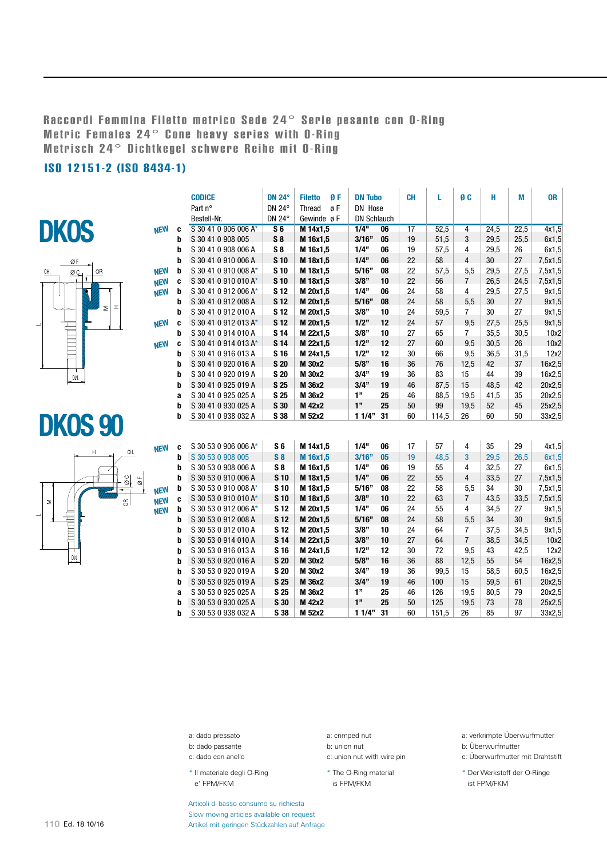## Raccordi Femmina Filetto metrico Sede 24° Serie pesante con O-Ring Metric Females 24° Cone heavy series with O-Ring Metrisch 24° Dichtkegel schwere Reihe mit O-Ring

## ISO 12151-2 (ISO 8434-1)





## DKOS 90



|            |   | <b>CODICE</b><br><b>DN 24°</b><br><b>Filetto</b><br>ØF |                 | <b>DN Tubo</b> |                    | <b>CH</b> | L  | Ø <sub>C</sub> | н                       | М    | <b>OR</b> |         |
|------------|---|--------------------------------------------------------|-----------------|----------------|--------------------|-----------|----|----------------|-------------------------|------|-----------|---------|
|            |   | Part n°                                                | DN 24°          | øF<br>Thread   | DN Hose            |           |    |                |                         |      |           |         |
|            |   | Bestell-Nr.                                            | DN 24°          | Gewinde øF     | <b>DN Schlauch</b> |           |    |                |                         |      |           |         |
| <b>NEW</b> | C | S 30 41 0 906 006 A*                                   | S <sub>6</sub>  | M 14x1,5       | 1/4"               | 06        | 17 | 52,5           | $\overline{4}$          | 24,5 | 22,5      | 4x1,5   |
|            | b | S 30 41 0 908 005                                      | S8              | M 16x1,5       | 3/16"              | 05        | 19 | 51,5           | 3                       | 29,5 | 25,5      | 6x1,5   |
|            | b | S 30 41 0 908 006 A                                    | S8              | M 16x1,5       | 1/4"               | 06        | 19 | 57,5           | 4                       | 29,5 | 26        | 6x1,5   |
|            | b | S 30 41 0 910 006 A                                    | S <sub>10</sub> | M 18x1,5       | 1/4"               | 06        | 22 | 58             | $\overline{4}$          | 30   | 27        | 7,5x1,5 |
| <b>NEW</b> | b | S 30 41 0 910 008 A*                                   | S <sub>10</sub> | M 18x1,5       | 5/16"              | 08        | 22 | 57,5           | 5,5                     | 29,5 | 27,5      | 7,5x1,5 |
| <b>NEW</b> | C | S 30 41 0 910 010 A*                                   | S <sub>10</sub> | M 18x1,5       | 3/8"               | 10        | 22 | 56             | $\overline{7}$          | 26,5 | 24,5      | 7,5x1,5 |
| <b>NEW</b> | b | S 30 41 0 912 006 A*                                   | <b>S12</b>      | M 20x1,5       | 1/4"               | 06        | 24 | 58             | 4                       | 29,5 | 27,5      | 9x1,5   |
|            | b | S 30 41 0 912 008 A                                    | <b>S12</b>      | M 20x1,5       | 5/16"              | 08        | 24 | 58             | 5,5                     | 30   | 27        | 9x1,5   |
|            | b | S 30 41 0 912 010 A                                    | <b>S12</b>      | M 20x1,5       | 3/8"               | 10        | 24 | 59,5           | $\overline{7}$          | 30   | 27        | 9x1,5   |
| <b>NEW</b> | C | S 30 41 0 912 013 A*                                   | <b>S12</b>      | M 20x1,5       | 1/2"               | 12        | 24 | 57             | 9,5                     | 27,5 | 25,5      | 9x1,5   |
|            | b | S 30 41 0 914 010 A                                    | <b>S14</b>      | M 22x1,5       | 3/8"               | 10        | 27 | 65             | $\overline{7}$          | 35,5 | 30,5      | 10x2    |
| <b>NEW</b> | C | S 30 41 0 914 013 A*                                   | <b>S14</b>      | M 22x1,5       | 1/2"               | 12        | 27 | 60             | 9,5                     | 30,5 | 26        | 10x2    |
|            | b | S 30 41 0 916 013 A                                    | <b>S16</b>      | M 24x1,5       | 1/2"               | 12        | 30 | 66             | 9,5                     | 36,5 | 31,5      | 12x2    |
|            | b | S 30 41 0 920 016 A                                    | <b>S 20</b>     | M 30x2         | 5/8"               | 16        | 36 | 76             | 12,5                    | 42   | 37        | 16x2,5  |
|            | þ | S 30 41 0 920 019 A                                    | <b>S 20</b>     | M 30x2         | 3/4"               | 19        | 36 | 83             | 15                      | 44   | 39        | 16x2,5  |
|            | b | S 30 41 0 925 019 A                                    | S <sub>25</sub> | M 36x2         | 3/4"               | 19        | 46 | 87,5           | 15                      | 48,5 | 42        | 20x2,5  |
|            | a | S 30 41 0 925 025 A                                    | <b>S 25</b>     | M 36x2         | 1"                 | 25        | 46 | 88,5           | 19,5                    | 41,5 | 35        | 20x2.5  |
|            | b | S 30 41 0 930 025 A                                    | S 30            | M 42x2         | 1"                 | 25        | 50 | 99             | 19,5                    | 52   | 45        | 25x2,5  |
|            | b | S 30 41 0 938 032 A                                    | S 38            | M 52x2         | 11/4"              | 31        | 60 | 114,5          | 26                      | 60   | 50        | 33x2,5  |
|            |   |                                                        |                 |                |                    |           |    |                |                         |      |           |         |
|            |   |                                                        |                 |                |                    |           |    |                |                         |      |           |         |
| <b>NEW</b> | C | S 30 53 0 906 006 A*                                   | S <sub>6</sub>  | M 14x1,5       | 1/4"               | 06        | 17 | 57             | 4                       | 35   | 29        | 4x1,5   |
|            | b | S 30 53 0 908 005                                      | $S_8$           | M 16x1,5       | 3/16"              | 05        | 19 | 48,5           | 3                       | 29,5 | 26,5      | 6x1,5   |
|            | b | S 30 53 0 908 006 A                                    | $S_8$           | M 16x1,5       | 1/4"               | 06        | 19 | 55             | 4                       | 32,5 | 27        | 6x1,5   |
|            | b | S 30 53 0 910 006 A                                    | S <sub>10</sub> | M 18x1,5       | 1/4"               | 06        | 22 | 55             | $\overline{\mathbf{4}}$ | 33,5 | 27        | 7,5x1,5 |
| <b>NEW</b> | b | S 30 53 0 910 008 A*                                   | S <sub>10</sub> | M 18x1,5       | 5/16"              | 08        | 22 | 58             | 5,5                     | 34   | 30        | 7,5x1,5 |
| <b>NEW</b> | c | S 30 53 0 910 010 A*                                   | S <sub>10</sub> | M 18x1,5       | 3/8"               | 10        | 22 | 63             | $\overline{7}$          | 43,5 | 33,5      | 7,5x1,5 |
| <b>NEW</b> | b | S 30 53 0 912 006 A*                                   | <b>S12</b>      | M 20x1,5       | 1/4"               | 06        | 24 | 55             | 4                       | 34,5 | 27        | 9x1,5   |
|            | b | S 30 53 0 912 008 A                                    | <b>S12</b>      | M 20x1,5       | 5/16"              | 08        | 24 | 58             | 5,5                     | 34   | 30        | 9x1,5   |
|            | b | S 30 53 0 912 010 A                                    | <b>S12</b>      | M 20x1,5       | 3/8"               | 10        | 24 | 64             | $\overline{7}$          | 37,5 | 34,5      | 9x1,5   |
|            | b | S 30 53 0 914 010 A                                    | <b>S14</b>      | M 22x1,5       | 3/8"               | 10        | 27 | 64             | $\overline{7}$          | 38,5 | 34,5      | 10x2    |
|            | b | S 30 53 0 916 013 A                                    | <b>S16</b>      | M 24x1,5       | 1/2"               | 12        | 30 | 72             | 9,5                     | 43   | 42,5      | 12x2    |
|            | b | S 30 53 0 920 016 A                                    | <b>S 20</b>     | M 30x2         | 5/8"               | 16        | 36 | 88             | 12,5                    | 55   | 54        | 16x2,5  |
|            | b | S 30 53 0 920 019 A                                    | <b>S 20</b>     | M 30x2         | 3/4"               | 19        | 36 | 99,5           | 15                      | 58,5 | 60,5      | 16x2,5  |
|            | b | S 30 53 0 925 019 A                                    | <b>S25</b>      | M 36x2         | 3/4"               | 19        | 46 | 100            | 15                      | 59,5 | 61        | 20x2,5  |
|            | a | S 30 53 0 925 025 A                                    | <b>S25</b>      | M 36x2         | 1"                 | 25        | 46 | 126            | 19,5                    | 80,5 | 79        | 20x2,5  |
|            | b | S 30 53 0 930 025 A                                    | S 30            | M 42x2         | $1"$               | 25        | 50 | 125            | 19,5                    | 73   | 78        | 25x2,5  |
|            | b | S 30 53 0 938 032 A                                    | S 38            | M 52x2         | 11/4"              | 31        | 60 | 151,5          | 26                      | 85   | 97        | 33x2,5  |

a: dado pressato

- b: dado passante
- c: dado con anello

\* Il materiale degli O-Ring e' FPM/FKM

a: crimped nut

b: union nut c: union nut with wire pin

- \* The O-Ring material
- is FPM/FKM

a: verkrimpte Überwurfmutter

- b: Überwurfmutter
- c: Überwurfmutter mit Drahtstift

\* Der Werkstoff der O-Ringe ist FPM/FKM

Articoli di basso consumo su richiesta Slow moving articles available on request Artikel mit geringen Stückzahlen auf Anfrage